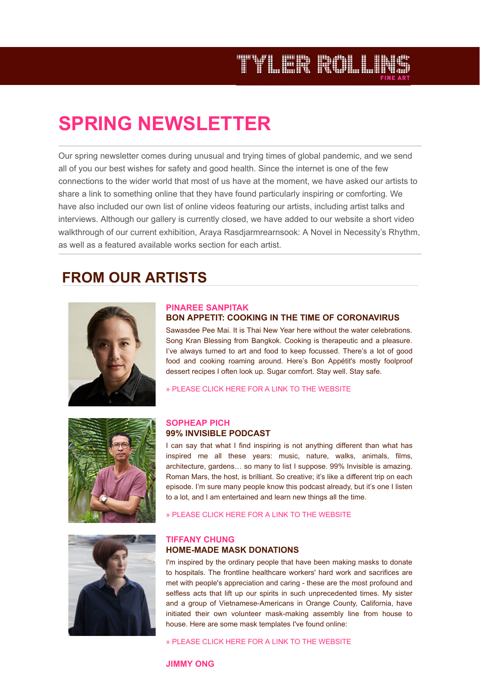# TYLER ROLLIN

## **SPRING NEWSLETTER**

Our spring newsletter comes during unusual and trying times of global pandemic, and we send all of you our best wishes for safety and good health. Since the internet is one of the few connections to the wider world that most of us have at the moment, we have asked our artists to share a link to something online that they have found particularly inspiring or comforting. We have also included our own list of online videos featuring our artists, including artist talks and interviews. Although our gallery is currently closed, we have added to our website a short video walkthrough of our current exhibition, Araya Rasdjarmrearnsook: A Novel in Necessity's Rhythm, as well as a featured available works section for each artist.

### **FROM OUR ARTISTS**



#### **[PINAREE SANPITAK](http://www.trfineart.com/artist/pinaree-sanpitak/#artist-works) BON APPETIT: COOKING IN THE TIME OF CORONAVIRUS**

Sawasdee Pee Mai. It is Thai New Year here without the water celebrations. Song Kran Blessing from Bangkok. Cooking is therapeutic and a pleasure. I've always turned to art and food to keep focussed. There's a lot of good food and cooking roaming around. Here's Bon Appétit's mostly foolproof dessert recipes I often look up. Sugar comfort. Stay well. Stay safe.

[» PLEASE CLICK HERE FOR A LINK TO THE WEBSITE](https://www.bonappetit.com/collection/coronavirus)





I can say that what I find inspiring is not anything different than what has inspired me all these years: music, nature, walks, animals, films, architecture, gardens… so many to list I suppose. 99% Invisible is amazing. Roman Mars, the host, is brilliant. So creative; it's like a different trip on each episode. I'm sure many people know this podcast already, but it's one I listen to a lot, and I am entertained and learn new things all the time.

[» PLEASE CLICK HERE FOR A LINK TO THE WEBSITE](https://99percentinvisible.org/episodes/)



#### **[TIFFANY CHUNG](http://www.trfineart.com/artist/tiffany-chung/#artist-works) HOME-MADE MASK DONATIONS**

I'm inspired by the ordinary people that have been making masks to donate to hospitals. The frontline healthcare workers' hard work and sacrifices are met with people's appreciation and caring - these are the most profound and selfless acts that lift up our spirits in such unprecedented times. My sister and a group of Vietnamese-Americans in Orange County, California, have initiated their own volunteer mask-making assembly line from house to house. Here are some mask templates I've found online:

[» PLEASE CLICK HERE FOR A LINK TO THE WEBSITE](https://www.joann.com/make-to-give-response/)

#### **[JIMMY ONG](http://www.trfineart.com/artist/jimmy-ong/)**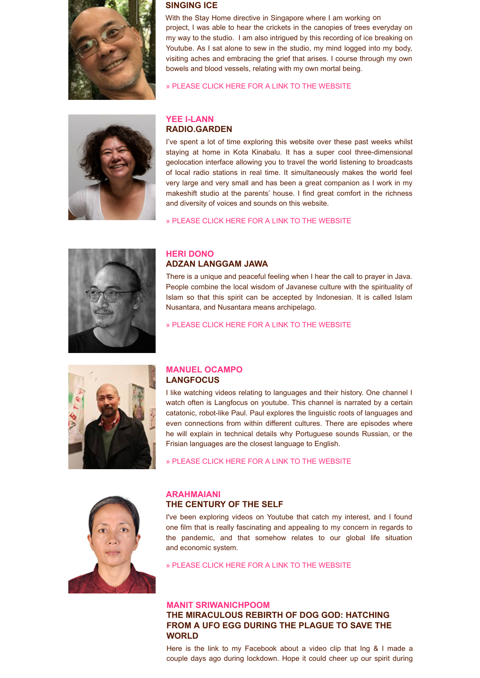

#### **SINGING ICE**

With the Stay Home directive in Singapore where I am working [on](javascript:;)  project, I was able to hear the crickets in the canopies of trees everyday on my way to the studio. I am also intrigued by this recording of ice breaking on Youtube. As I sat alone to sew in the studio, my mind logged into my body, visiting aches and embracing the grief that arises. I course through my own bowels and blood vessels, relating with my own mortal being.

[» PLEASE CLICK HERE FOR A LINK TO THE WEBSITE](https://www.youtube.com/watch?v=Qd-CwJa1SHE&fbclid=IwAR12ZVJdVLqxhQnaZdvJcRInQxyCAcXfrtZyKL1WNECn54IG5BzAl6pxhOY)



#### **[YEE I-LANN](http://www.trfineart.com/artist/yee-i-lann/#artist-works) RADIO.GARDEN**

I've spent a lot of time exploring this website over these past weeks whilst staying at home in Kota Kinabalu. It has a super cool three-dimensional geolocation interface allowing you to travel the world listening to broadcasts of local radio stations in real time. It simultaneously makes the world feel very large and very small and has been a great companion as I work in my makeshift studio at the parents' house. I find great comfort in the richness and diversity of voices and sounds on this website.

[» PLEASE CLICK HERE FOR A LINK TO THE WEBSITE](http://radio.garden/)



#### **[HERI DONO](http://www.trfineart.com/artist/heri-dono/#artist-works) ADZAN LANGGAM JAWA**

There is a unique and peaceful feeling when I hear the call to prayer in Java. People combine the local wisdom of Javanese culture with the spirituality of Islam so that this spirit can be accepted by Indonesian. It is called Islam Nusantara, and Nusantara means archipelago.

[» PLEASE CLICK HERE FOR A LINK TO THE WEBSITE](https://www.youtube.com/watch?v=8LHWDtStUTk&feature=youtu.be)



#### **[MANUEL OCAMPO](http://www.trfineart.com/artist/manuel-ocampo/#artist-works) LANGFOCUS**

I like watching videos relating to languages and their history. One channel I watch often is Langfocus on youtube. This channel is narrated by a certain catatonic, robot-like Paul. Paul explores the linguistic roots of languages and even connections from within different cultures. There are episodes where he will explain in technical details why Portuguese sounds Russian, or the Frisian languages are the closest language to English.

[» PLEASE CLICK HERE FOR A LINK TO THE WEBSITE](https://www.youtube.com/channel/UCNhX3WQEkraW3VHPyup8jkQ)



#### **[ARAHMAIANI](http://www.trfineart.com/artist/arahmaiani/#artist-works)**

#### **THE CENTURY OF THE SELF**

I've been exploring videos on Youtube that catch my interest, and I found one film that is really fascinating and appealing to my concern in regards to the pandemic, and that somehow relates to our global life situation and economic system.

[» PLEASE CLICK HERE FOR A LINK TO THE WEBSITE](https://www.youtube.com/watch?v=eJ3RzGoQC4s)

#### **[MANIT SRIWANICHPOOM](http://www.trfineart.com/artist/manit-sriwanichpoom/#artist-works)**

**THE MIRACULOUS REBIRTH OF DOG GOD: HATCHING FROM A UFO EGG DURING THE PLAGUE TO SAVE THE WORLD**

Here is the link to my Facebook about a video clip that Ing & I made a couple days ago during lockdown. Hope it could cheer up our spirit during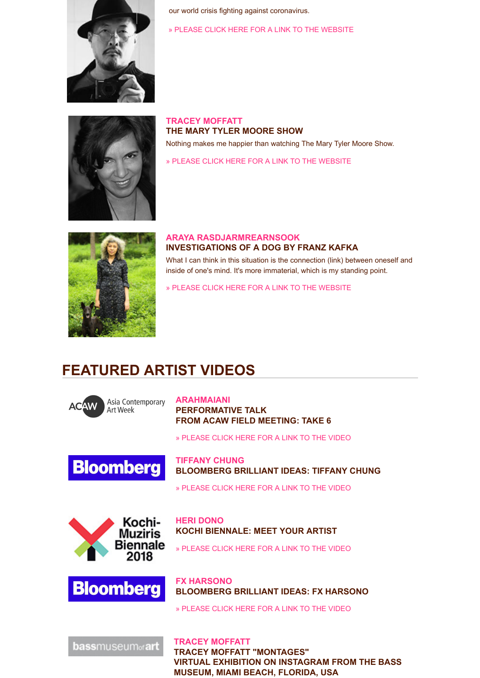

our world crisis fighting against coronavirus.

»PLEASE CLICK HERE FOR A LINK TO TH[E WEBSITE](https://m.facebook.com/story.php?story_fbid=1113026195700660&id=100009798697874)



**[TRACEY MOFFATT](http://www.trfineart.com/artist/tracey-moffatt/) THE MARY TYLER MOORE SHOW** Nothing makes me happier than watching The Mary Tyler Moore Show.

[» PLEASE CLICK HERE FOR A LINK TO THE WEBSITE](https://www.youtube.com/watch?v=ZNKOt2k7Pm4&app=desktop)



#### **[ARAYA RASDJARMREARNSOOK](http://www.trfineart.com/artist/araya-rasdjarmrearnsook/#artist-works) INVESTIGATIONS OF A DOG BY FRANZ KAFKA**

What I can think in this situation is the connection (link) between oneself and inside of one's mind. It's more immaterial, which is my standing point.

[» PLEASE CLICK HERE FOR A LINK TO THE WEBSITE](https://www.goodreads.com/book/show/32491839-investigations-of-a-dog-other-creatures)

## **FEATURED ARTIST VIDEOS**



**[ARAHMAIANI](http://www.trfineart.com/artist/arahmaiani/#artist-works) PERFORMATIVE TALK FROM ACAW FIELD MEETING: TAKE 6**

[» PLEASE CLICK HERE FOR A LINK TO THE VIDEO](https://www.youtube.com/watch?v=Bb3TYhB2xT8)



**[TIFFANY CHUNG](http://www.trfineart.com/artist/tiffany-chung/#artist-works) BLOOMBERG BRILLIANT IDEAS: TIFFANY CHUNG**

[» PLEASE CLICK HERE FOR A LINK TO THE VIDEO](https://www.bloomberg.com/news/videos/2016-11-09/tiffany-chung-on-brilliant-ideas)



**[HERI DONO](http://www.trfineart.com/artist/heri-dono/) KOCHI BIENNALE: MEET YOUR ARTIST**

[» PLEASE CLICK HERE FOR A LINK TO THE VIDEO](https://www.youtube.com/watch?v=Py3-tHHDLxQ&feature=youtu.be)



**[FX HARSONO](http://www.trfineart.com/artist/fx-harsono/#artist-works) BLOOMBERG BRILLIANT IDEAS: FX HARSONO**

[» PLEASE CLICK HERE FOR A LINK TO THE VIDEO](https://www.bloomberg.com/news/videos/2017-09-06/fx-harsono-on-brilliant-ideas-video)

**bassmuseum**<sub>of</sub> art

**[TRACEY MOFFATT](http://www.trfineart.com/artist/tracey-moffatt/#artist-works) TRACEY MOFFATT "MONTAGES" VIRTUAL EXHIBITION ON INSTAGRAM FROM THE BASS MUSEUM, MIAMI BEACH, FLORIDA, USA**